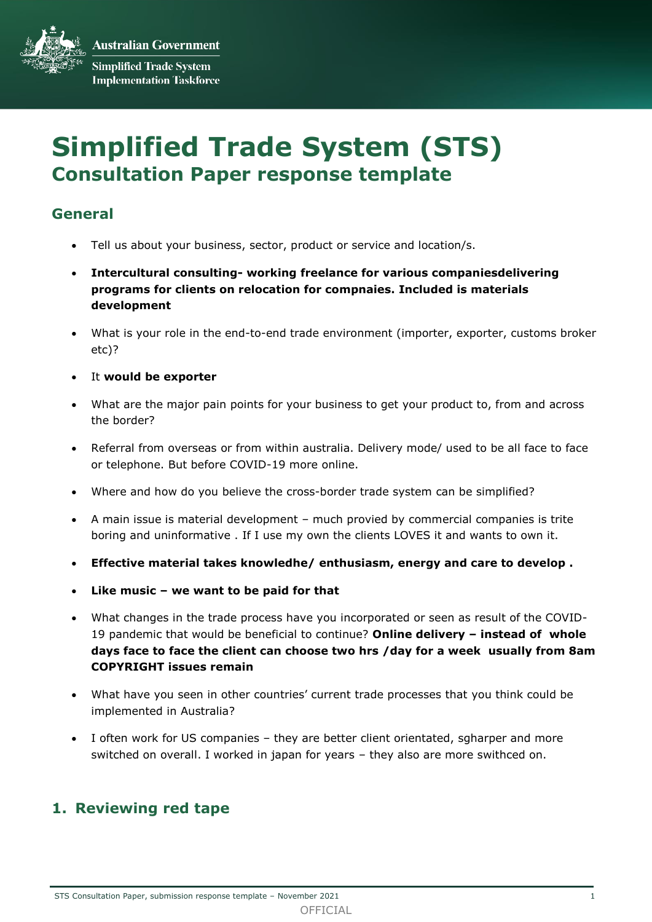**Australian Government Simplified Trade System Implementation Taskforce** 

# **Simplified Trade System (STS) Consultation Paper response template**

# **General**

- Tell us about your business, sector, product or service and location/s.
- **Intercultural consulting- working freelance for various companiesdelivering programs for clients on relocation for compnaies. Included is materials development**
- What is your role in the end-to-end trade environment (importer, exporter, customs broker etc)?
- It **would be exporter**
- What are the major pain points for your business to get your product to, from and across the border?
- Referral from overseas or from within australia. Delivery mode/ used to be all face to face or telephone. But before COVID-19 more online.
- Where and how do you believe the cross-border trade system can be simplified?
- A main issue is material development much provied by commercial companies is trite boring and uninformative . If I use my own the clients LOVES it and wants to own it.
- **Effective material takes knowledhe/ enthusiasm, energy and care to develop .**
- **Like music – we want to be paid for that**
- What changes in the trade process have you incorporated or seen as result of the COVID-19 pandemic that would be beneficial to continue? **Online delivery – instead of whole days face to face the client can choose two hrs /day for a week usually from 8am COPYRIGHT issues remain**
- What have you seen in other countries' current trade processes that you think could be implemented in Australia?
- I often work for US companies they are better client orientated, sgharper and more switched on overall. I worked in japan for years – they also are more swithced on.

# **1. Reviewing red tape**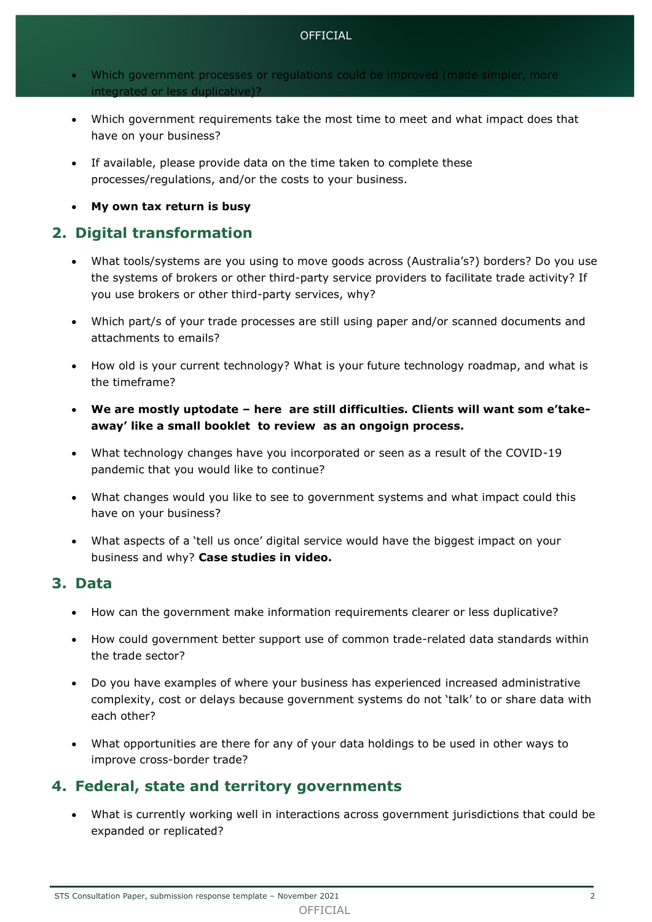#### OFFICIAL

- Which government processes or regulations could be improved (made simpler, more integrated or less duplicative)?
- Which government requirements take the most time to meet and what impact does that have on your business?
- If available, please provide data on the time taken to complete these processes/regulations, and/or the costs to your business.
- **My own tax return is busy**

## **2. Digital transformation**

- What tools/systems are you using to move goods across (Australia's?) borders? Do you use the systems of brokers or other third-party service providers to facilitate trade activity? If you use brokers or other third-party services, why?
- Which part/s of your trade processes are still using paper and/or scanned documents and attachments to emails?
- How old is your current technology? What is your future technology roadmap, and what is the timeframe?
- **We are mostly uptodate – here are still difficulties. Clients will want som e'takeaway' like a small booklet to review as an ongoign process.**
- What technology changes have you incorporated or seen as a result of the COVID-19 pandemic that you would like to continue?
- What changes would you like to see to government systems and what impact could this have on your business?
- What aspects of a 'tell us once' digital service would have the biggest impact on your business and why? **Case studies in video.**

### **3. Data**

- How can the government make information requirements clearer or less duplicative?
- How could government better support use of common trade-related data standards within the trade sector?
- Do you have examples of where your business has experienced increased administrative complexity, cost or delays because government systems do not 'talk' to or share data with each other?
- What opportunities are there for any of your data holdings to be used in other ways to improve cross-border trade?

### **4. Federal, state and territory governments**

 What is currently working well in interactions across government jurisdictions that could be expanded or replicated?